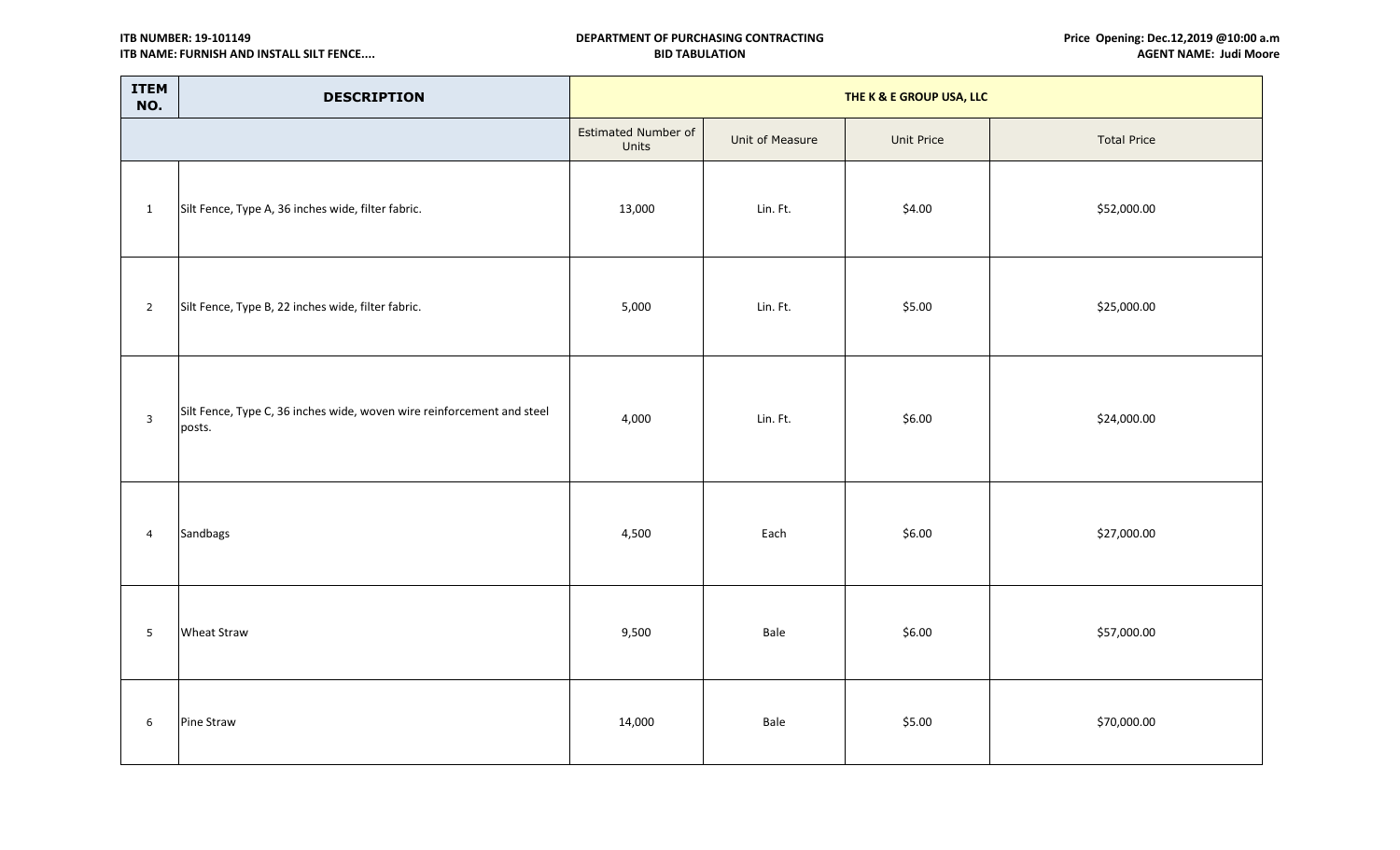**ITB NUMBER: 19-101149 ITB NAME: FURNISH AND INSTALL SILT FENCE....**

| <b>ITEM</b><br>NO. | <b>DESCRIPTION</b>                                                               | THE K & E GROUP USA, LLC     |                 |            |                    |  |  |
|--------------------|----------------------------------------------------------------------------------|------------------------------|-----------------|------------|--------------------|--|--|
|                    |                                                                                  | Estimated Number of<br>Units | Unit of Measure | Unit Price | <b>Total Price</b> |  |  |
| $\mathbf{1}$       | Silt Fence, Type A, 36 inches wide, filter fabric.                               | 13,000                       | Lin. Ft.        | \$4.00     | \$52,000.00        |  |  |
| $\overline{2}$     | Silt Fence, Type B, 22 inches wide, filter fabric.                               | 5,000                        | Lin. Ft.        | \$5.00     | \$25,000.00        |  |  |
| $\mathbf{3}$       | Silt Fence, Type C, 36 inches wide, woven wire reinforcement and steel<br>posts. | 4,000                        | Lin. Ft.        | \$6.00     | \$24,000.00        |  |  |
| $\overline{4}$     | Sandbags                                                                         | 4,500                        | Each            | \$6.00     | \$27,000.00        |  |  |
| $5\phantom{.}$     | <b>Wheat Straw</b>                                                               | 9,500                        | Bale            | \$6.00     | \$57,000.00        |  |  |
| 6                  | Pine Straw                                                                       | 14,000                       | Bale            | \$5.00     | \$70,000.00        |  |  |